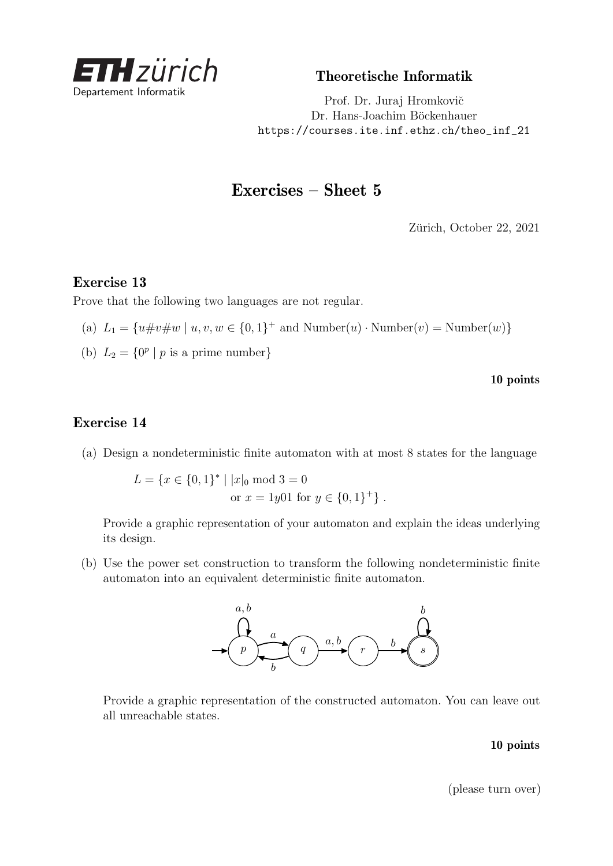

Theoretische Informatik

Prof. Dr. Juraj Hromkovič Dr. Hans-Joachim Böckenhauer [https://courses.ite.inf.ethz.ch/theo\\_inf\\_21](https://courses.ite.inf.ethz.ch/theo_inf_21)

# Exercises – Sheet 5

Zürich, October 22, 2021

### Exercise 13

Prove that the following two languages are not regular.

- (a)  $L_1 = \{u \# v \# w \mid u, v, w \in \{0, 1\}^+ \text{ and Number}(u) \cdot \text{Number}(v) = \text{Number}(w)\}\$
- (b)  $L_2 = \{0^p | p \text{ is a prime number}\}$

10 points

## Exercise 14

(a) Design a nondeterministic finite automaton with at most 8 states for the language

 $L = \{x \in \{0, 1\}^* \mid |x|_0 \text{ mod } 3 = 0\}$ or  $x = 1y01$  for  $y \in \{0, 1\}^+\}$ .

Provide a graphic representation of your automaton and explain the ideas underlying its design.

(b) Use the power set construction to transform the following nondeterministic finite automaton into an equivalent deterministic finite automaton.



Provide a graphic representation of the constructed automaton. You can leave out all unreachable states.

#### 10 points

(please turn over)